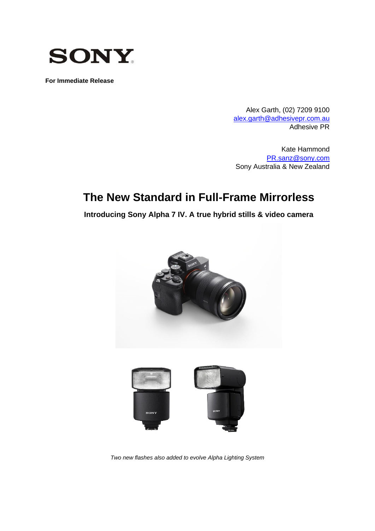

**For Immediate Release**

Alex Garth, (02) 7209 9100 [alex.garth@adhesivepr.com.au](mailto:alex.garth@adhesivepr.com.au) Adhesive PR

Kate Hammond [PR.sanz@sony.com](mailto:PR.sanz@sony.com) Sony Australia & New Zealand

# **The New Standard in Full-Frame Mirrorless**

**Introducing Sony Alpha 7 IV. A true hybrid stills & video camera**



*Two new flashes also added to evolve Alpha Lighting System*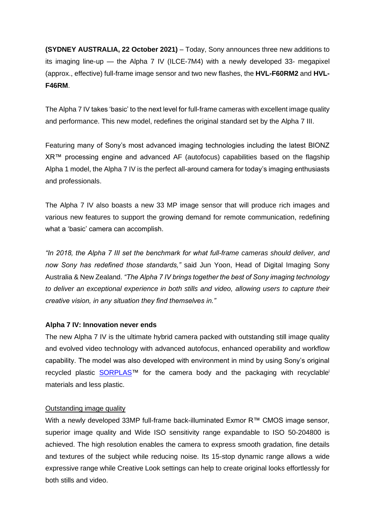**(SYDNEY AUSTRALIA, 22 October 2021)** – Today, Sony announces three new additions to its imaging line-up — the Alpha 7 IV (ILCE-7M4) with a newly developed 33- megapixel (approx., effective) full-frame image sensor and two new flashes, the **HVL-F60RM2** and **HVL-F46RM**.

The Alpha 7 IV takes 'basic' to the next level for full-frame cameras with excellent image quality and performance. This new model, redefines the original standard set by the Alpha 7 III.

Featuring many of Sony's most advanced imaging technologies including the latest BIONZ XR™ processing engine and advanced AF (autofocus) capabilities based on the flagship Alpha 1 model, the Alpha 7 IV is the perfect all-around camera for today's imaging enthusiasts and professionals.

The Alpha 7 IV also boasts a new 33 MP image sensor that will produce rich images and various new features to support the growing demand for remote communication, redefining what a 'basic' camera can accomplish.

*"In 2018, the Alpha 7 III set the benchmark for what full-frame cameras should deliver, and now Sony has redefined those standards,"* said Jun Yoon, Head of Digital Imaging Sony Australia & New Zealand. *"The Alpha 7 IV brings together the best of Sony imaging technology to deliver an exceptional experience in both stills and video, allowing users to capture their creative vision, in any situation they find themselves in."*

# **Alpha 7 IV: Innovation never ends**

The new Alpha 7 IV is the ultimate hybrid camera packed with outstanding still image quality and evolved video technology with advanced autofocus, enhanced operability and workflow capability. The model was also developed with environment in mind by using Sony's original recycled plastic **[SORPLAS™](https://www.sony-asia.com/electronics/sorplas-recycled-plastic)** for the camera body and the packaging with recyclable<sup>i</sup> materials and less plastic.

# Outstanding image quality

With a newly developed 33MP full-frame back-illuminated Exmor R™ CMOS image sensor, superior image quality and Wide ISO sensitivity range expandable to ISO 50-204800 is achieved. The high resolution enables the camera to express smooth gradation, fine details and textures of the subject while reducing noise. Its 15-stop dynamic range allows a wide expressive range while Creative Look settings can help to create original looks effortlessly for both stills and video.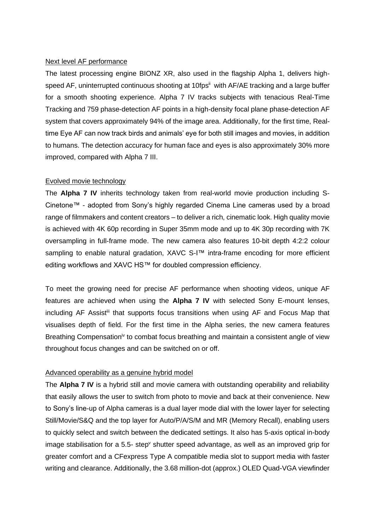#### Next level AF performance

The latest processing engine BIONZ XR, also used in the flagship Alpha 1, delivers highspeed AF, uninterrupted continuous shooting at 10fps<sup>ii</sup> with AF/AE tracking and a large buffer for a smooth shooting experience. Alpha 7 IV tracks subjects with tenacious Real-Time Tracking and 759 phase-detection AF points in a high-density focal plane phase-detection AF system that covers approximately 94% of the image area. Additionally, for the first time, Realtime Eye AF can now track birds and animals' eye for both still images and movies, in addition to humans. The detection accuracy for human face and eyes is also approximately 30% more improved, compared with Alpha 7 III.

### Evolved movie technology

The **Alpha 7 IV** inherits technology taken from real-world movie production including S-Cinetone™ - adopted from Sony's highly regarded Cinema Line cameras used by a broad range of filmmakers and content creators – to deliver a rich, cinematic look. High quality movie is achieved with 4K 60p recording in Super 35mm mode and up to 4K 30p recording with 7K oversampling in full-frame mode. The new camera also features 10-bit depth 4:2:2 colour sampling to enable natural gradation, XAVC S-I™ intra-frame encoding for more efficient editing workflows and XAVC HS™ for doubled compression efficiency.

To meet the growing need for precise AF performance when shooting videos, unique AF features are achieved when using the **Alpha 7 IV** with selected Sony E-mount lenses, including AF Assist<sup>iii</sup> that supports focus transitions when using AF and Focus Map that visualises depth of field. For the first time in the Alpha series, the new camera features Breathing Compensation<sup>iv</sup> to combat focus breathing and maintain a consistent angle of view throughout focus changes and can be switched on or off.

#### Advanced operability as a genuine hybrid model

The **Alpha 7 IV** is a hybrid still and movie camera with outstanding operability and reliability that easily allows the user to switch from photo to movie and back at their convenience. New to Sony's line-up of Alpha cameras is a dual layer mode dial with the lower layer for selecting Still/Movie/S&Q and the top layer for Auto/P/A/S/M and MR (Memory Recall), enabling users to quickly select and switch between the dedicated settings. It also has 5-axis optical in-body image stabilisation for a 5.5- step<sup>y</sup> shutter speed advantage, as well as an improved grip for greater comfort and a CFexpress Type A compatible media slot to support media with faster writing and clearance. Additionally, the 3.68 million-dot (approx.) OLED Quad-VGA viewfinder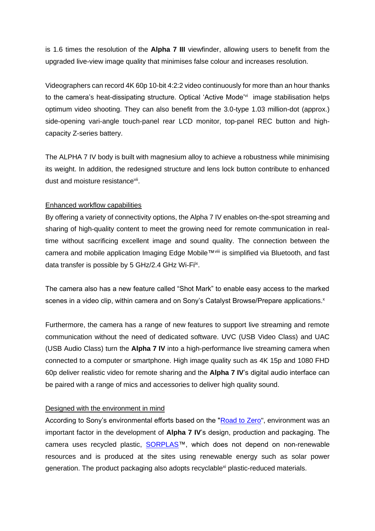is 1.6 times the resolution of the **Alpha 7 III** viewfinder, allowing users to benefit from the upgraded live-view image quality that minimises false colour and increases resolution.

Videographers can record 4K 60p 10-bit 4:2:2 video continuously for more than an hour thanks to the camera's heat-dissipating structure. Optical 'Active Mode'<sup>vi</sup> image stabilisation helps optimum video shooting. They can also benefit from the 3.0-type 1.03 million-dot (approx.) side-opening vari-angle touch-panel rear LCD monitor, top-panel REC button and highcapacity Z-series battery.

The ALPHA 7 IV body is built with magnesium alloy to achieve a robustness while minimising its weight. In addition, the redesigned structure and lens lock button contribute to enhanced dust and moisture resistancevii.

### Enhanced workflow capabilities

By offering a variety of connectivity options, the Alpha 7 IV enables on-the-spot streaming and sharing of high-quality content to meet the growing need for remote communication in realtime without sacrificing excellent image and sound quality. The connection between the camera and mobile application Imaging Edge Mobile™viii is simplified via Bluetooth, and fast data transfer is possible by 5 GHz/2.4 GHz Wi-Fi<sup>ix</sup>.

The camera also has a new feature called "Shot Mark" to enable easy access to the marked scenes in a video clip, within camera and on Sony's Catalyst Browse/Prepare applications.<sup>x</sup>

Furthermore, the camera has a range of new features to support live streaming and remote communication without the need of dedicated software. UVC (USB Video Class) and UAC (USB Audio Class) turn the **Alpha 7 IV** into a high-performance live streaming camera when connected to a computer or smartphone. High image quality such as 4K 15p and 1080 FHD 60p deliver realistic video for remote sharing and the **Alpha 7 IV**'s digital audio interface can be paired with a range of mics and accessories to deliver high quality sound.

#### Designed with the environment in mind

According to Sony's environmental efforts based on the ["Road to Zero"](https://www.sony.com/en/SonyInfo/csr/eco/RoadToZero/gm_en.html), environment was an important factor in the development of **Alpha 7 IV**'s design, production and packaging. The camera uses recycled plastic, SORPLAS<sup>™</sup>, which does not depend on non-renewable resources and is produced at the sites using renewable energy such as solar power generation. The product packaging also adopts recyclable<sup>xi</sup> plastic-reduced materials.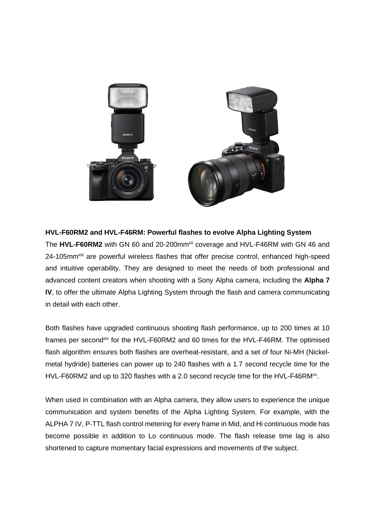

### **HVL-F60RM2 and HVL-F46RM: Powerful flashes to evolve Alpha Lighting System**

The HVL-F60RM2 with GN 60 and 20-200mm<sup>xii</sup> coverage and HVL-F46RM with GN 46 and 24-105mm<sup>xiii</sup> are powerful wireless flashes that offer precise control, enhanced high-speed and intuitive operability. They are designed to meet the needs of both professional and advanced content creators when shooting with a Sony Alpha camera, including the **Alpha 7 IV**, to offer the ultimate Alpha Lighting System through the flash and camera communicating in detail with each other.

Both flashes have upgraded continuous shooting flash performance, up to 200 times at 10 frames per second<sup>xiv</sup> for the HVL-F60RM2 and 60 times for the HVL-F46RM. The optimised flash algorithm ensures both flashes are overheat-resistant, and a set of four Ni-MH (Nickelmetal hydride) batteries can power up to 240 flashes with a 1.7 second recycle time for the HVL-F60RM2 and up to 320 flashes with a 2.0 second recycle time for the HVL-F46RM<sup>xv</sup>.

When used in combination with an Alpha camera, they allow users to experience the unique communication and system benefits of the Alpha Lighting System. For example, with the ALPHA 7 IV, P-TTL flash control metering for every frame in Mid, and Hi continuous mode has become possible in addition to Lo continuous mode. The flash release time lag is also shortened to capture momentary facial expressions and movements of the subject.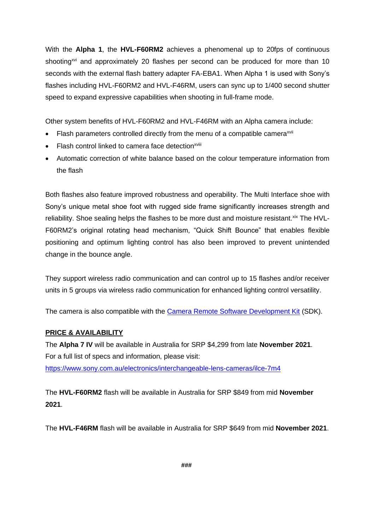With the **Alpha 1**, the **HVL-F60RM2** achieves a phenomenal up to 20fps of continuous shooting<sup> $xvi$ </sup> and approximately 20 flashes per second can be produced for more than 10 seconds with the external flash battery adapter FA-EBA1. When Alpha 1 is used with Sony's flashes including HVL-F60RM2 and HVL-F46RM, users can sync up to 1/400 second shutter speed to expand expressive capabilities when shooting in full-frame mode.

Other system benefits of HVL-F60RM2 and HVL-F46RM with an Alpha camera include:

- Flash parameters controlled directly from the menu of a compatible camera<sup>xvii</sup>
- Flash control linked to camera face detection<sup>xviii</sup>
- Automatic correction of white balance based on the colour temperature information from the flash

Both flashes also feature improved robustness and operability. The Multi Interface shoe with Sony's unique metal shoe foot with rugged side frame significantly increases strength and reliability. Shoe sealing helps the flashes to be more dust and moisture resistant. Xix The HVL-F60RM2's original rotating head mechanism, "Quick Shift Bounce" that enables flexible positioning and optimum lighting control has also been improved to prevent unintended change in the bounce angle.

They support wireless radio communication and can control up to 15 flashes and/or receiver units in 5 groups via wireless radio communication for enhanced lighting control versatility.

The camera is also compatible with the **Camera Remote Software Development Kit (SDK)**.

# **PRICE & AVAILABILITY**

The **Alpha 7 IV** will be available in Australia for SRP \$4,299 from late **November 2021**. For a full list of specs and information, please visit: <https://www.sony.com.au/electronics/interchangeable-lens-cameras/ilce-7m4>

The **HVL-F60RM2** flash will be available in Australia for SRP \$849 from mid **November 2021**.

The **HVL-F46RM** flash will be available in Australia for SRP \$649 from mid **November 2021**.